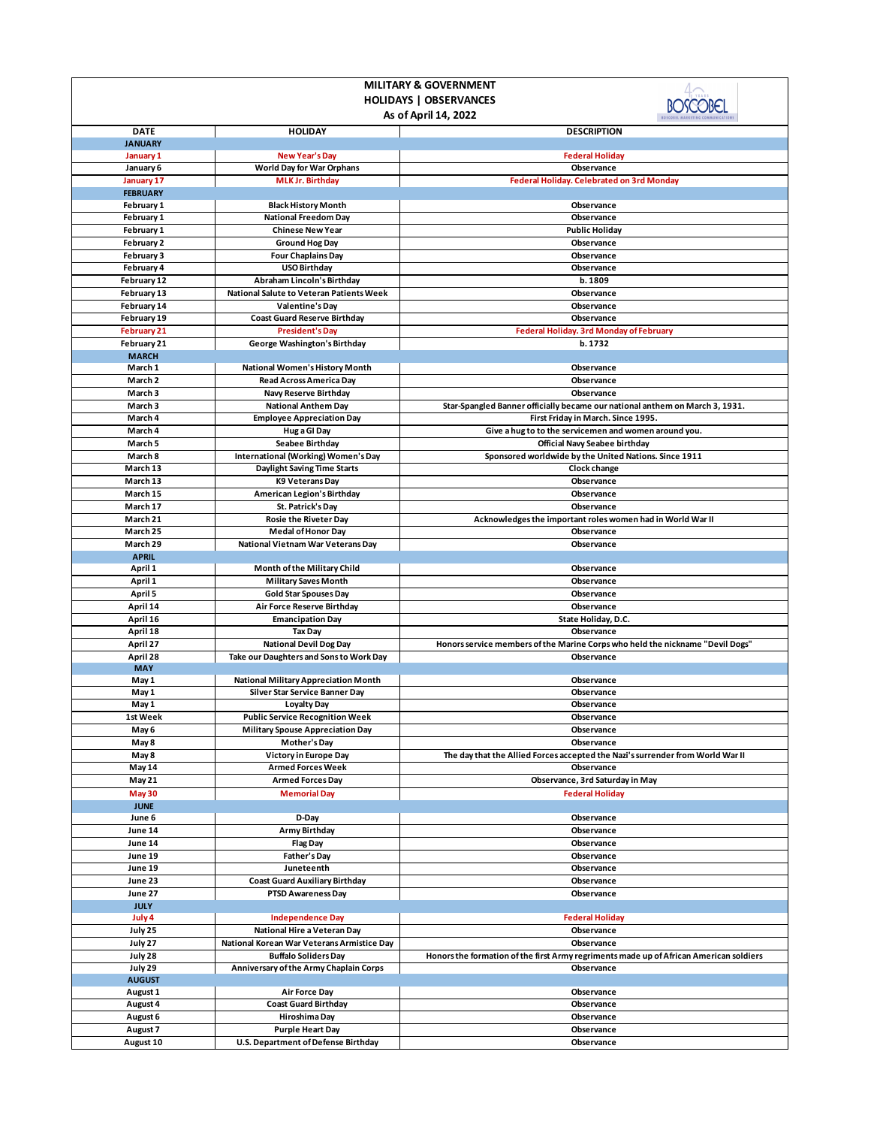| <b>MILITARY &amp; GOVERNMENT</b>                                |                                                                           |                                                                                        |  |  |
|-----------------------------------------------------------------|---------------------------------------------------------------------------|----------------------------------------------------------------------------------------|--|--|
| <b>HOLIDAYS   OBSERVANCES</b>                                   |                                                                           |                                                                                        |  |  |
|                                                                 | As of April 14, 2022                                                      |                                                                                        |  |  |
| <b>DATE</b>                                                     | <b>HOLIDAY</b>                                                            | <b>DESCRIPTION</b>                                                                     |  |  |
| <b>JANUARY</b>                                                  |                                                                           |                                                                                        |  |  |
| January 1                                                       | New Year's Day                                                            | <b>Federal Holiday</b>                                                                 |  |  |
| January 6                                                       | <b>World Day for War Orphans</b><br><b>MLK Jr. Birthday</b>               | Observance<br>Federal Holiday. Celebrated on 3rd Monday                                |  |  |
| January 17<br><b>FEBRUARY</b>                                   |                                                                           |                                                                                        |  |  |
| <b>February 1</b>                                               | <b>Black History Month</b>                                                | Observance                                                                             |  |  |
| February 1                                                      | <b>National Freedom Day</b>                                               | Observance                                                                             |  |  |
| February 1                                                      | <b>Chinese New Year</b>                                                   | <b>Public Holiday</b>                                                                  |  |  |
| February 2                                                      | <b>Ground Hog Day</b>                                                     | Observance                                                                             |  |  |
| February 3                                                      | <b>Four Chaplains Day</b>                                                 | Observance                                                                             |  |  |
| February 4                                                      | <b>USO Birthday</b>                                                       | Observance                                                                             |  |  |
| February 12                                                     | Abraham Lincoln's Birthday<br>National Salute to Veteran Patients Week    | b. 1809                                                                                |  |  |
| February 13<br>February 14                                      | Valentine's Day                                                           | Observance<br>Observance                                                               |  |  |
| February 19                                                     | <b>Coast Guard Reserve Birthday</b>                                       | Observance                                                                             |  |  |
| <b>February 21</b>                                              | <b>President's Day</b>                                                    | Federal Holiday. 3rd Monday of February                                                |  |  |
| February 21                                                     | George Washington's Birthday                                              | b. 1732                                                                                |  |  |
| <b>MARCH</b>                                                    |                                                                           |                                                                                        |  |  |
| March 1                                                         | National Women's History Month                                            | Observance                                                                             |  |  |
| March 2                                                         | <b>Read Across America Day</b>                                            | Observance                                                                             |  |  |
| March 3                                                         | Navy Reserve Birthday                                                     | Observance                                                                             |  |  |
| March 3                                                         | <b>National Anthem Day</b>                                                | Star-Spangled Banner officially became our national anthem on March 3, 1931.           |  |  |
| March 4                                                         | <b>Employee Appreciation Day</b>                                          | First Friday in March. Since 1995.                                                     |  |  |
| March 4                                                         | Hug a GI Day                                                              | Give a hug to to the servicemen and women around you.                                  |  |  |
| March 5<br>March 8                                              | <b>Seabee Birthday</b>                                                    | Official Navy Seabee birthday                                                          |  |  |
| March 13                                                        | International (Working) Women's Day<br><b>Daylight Saving Time Starts</b> | Sponsored worldwide by the United Nations. Since 1911<br>Clock change                  |  |  |
| March 13                                                        | K9 Veterans Day                                                           | Observance                                                                             |  |  |
| March 15                                                        | American Legion's Birthday                                                | Observance                                                                             |  |  |
| March 17                                                        | St. Patrick's Day                                                         | Observance                                                                             |  |  |
| March 21                                                        | Rosie the Riveter Day                                                     | Acknowledges the important roles women had in World War II                             |  |  |
| March 25                                                        | <b>Medal of Honor Day</b>                                                 | Observance                                                                             |  |  |
| March 29                                                        | National Vietnam War Veterans Day                                         | Observance                                                                             |  |  |
| <b>APRIL</b>                                                    |                                                                           |                                                                                        |  |  |
| April 1                                                         | Month of the Military Child                                               | Observance                                                                             |  |  |
| April 1                                                         | <b>Military Saves Month</b>                                               | Observance                                                                             |  |  |
| April 5<br>April 14                                             | <b>Gold Star Spouses Day</b><br>Air Force Reserve Birthday                | Observance<br>Observance                                                               |  |  |
| April 16                                                        | <b>Emancipation Day</b>                                                   | State Holiday, D.C.                                                                    |  |  |
| April 18                                                        | <b>Tax Day</b>                                                            | Observance                                                                             |  |  |
| April 27                                                        | <b>National Devil Dog Day</b>                                             | Honors service members of the Marine Corps who held the nickname "Devil Dogs"          |  |  |
| April 28                                                        | Take our Daughters and Sons to Work Day                                   | Observance                                                                             |  |  |
| <b>MAY</b>                                                      |                                                                           |                                                                                        |  |  |
| May 1                                                           | <b>National Military Appreciation Month</b>                               | Observance                                                                             |  |  |
| May 1                                                           | Silver Star Service Banner Day                                            | Observance<br>Observance                                                               |  |  |
| May 1<br>1st Week                                               | <b>Loyalty Day</b><br><b>Public Service Recognition Week</b>              | Observance                                                                             |  |  |
| May 6                                                           | <b>Military Spouse Appreciation Day</b>                                   | Observance                                                                             |  |  |
| May 8                                                           | Mother's Day                                                              | Observance                                                                             |  |  |
| May 8                                                           | Victory in Europe Day                                                     | The day that the Allied Forces accepted the Nazi's surrender from World War II         |  |  |
| May 14                                                          | <b>Armed Forces Week</b>                                                  | Observance                                                                             |  |  |
| May 21                                                          | <b>Armed Forces Day</b>                                                   | Observance, 3rd Saturday in May                                                        |  |  |
| <b>May 30</b>                                                   | <b>Memorial Day</b>                                                       | <b>Federal Holiday</b>                                                                 |  |  |
| <b>JUNE</b>                                                     |                                                                           |                                                                                        |  |  |
| June 6                                                          | D-Day                                                                     | Observance                                                                             |  |  |
| June 14                                                         | Army Birthday                                                             | Observance                                                                             |  |  |
| June 14<br>June 19                                              | Flag Day                                                                  | Observance<br>Observance                                                               |  |  |
| June 19                                                         | <b>Father's Day</b><br>Juneteenth                                         | Observance                                                                             |  |  |
| June 23                                                         | <b>Coast Guard Auxiliary Birthday</b>                                     | Observance                                                                             |  |  |
| June 27                                                         | <b>PTSD Awareness Day</b>                                                 | Observance                                                                             |  |  |
| <b>JULY</b>                                                     |                                                                           |                                                                                        |  |  |
| July 4                                                          | <b>Independence Day</b>                                                   | <b>Federal Holiday</b>                                                                 |  |  |
| July 25                                                         | National Hire a Veteran Day                                               | Observance                                                                             |  |  |
| July 27                                                         | National Korean War Veterans Armistice Day                                | Observance                                                                             |  |  |
| July 28                                                         | <b>Buffalo Soliders Day</b>                                               | Honors the formation of the first Army regriments made up of African American soldiers |  |  |
| July 29<br>Anniversary of the Army Chaplain Corps<br>Observance |                                                                           |                                                                                        |  |  |
| <b>AUGUST</b><br>August 1                                       | <b>Air Force Day</b>                                                      | Observance                                                                             |  |  |
| August 4                                                        | <b>Coast Guard Birthday</b>                                               | Observance                                                                             |  |  |
| August 6                                                        | Hiroshima Day                                                             | Observance                                                                             |  |  |
| August 7                                                        | <b>Purple Heart Day</b>                                                   | Observance                                                                             |  |  |
| August 10                                                       | U.S. Department of Defense Birthday                                       | Observance                                                                             |  |  |